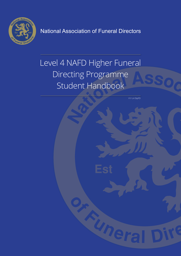

National Association of Funeral Directors

# Level 4 NAFD Higher Funeral Directing Programme Student Handbook

V1/ L4 DipFD

Uner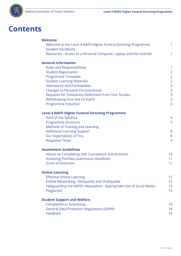

## **Contents**

| <b>Welcome</b>                                                                            |                                  |
|-------------------------------------------------------------------------------------------|----------------------------------|
| Welcome to the Level 4 NAFD Higher Funeral Directing Programme<br><b>Student Handbook</b> | 1                                |
| Resources - Access to a Personal Computer, Laptop and the Internet                        | 1                                |
| <b>General Information</b>                                                                |                                  |
| Roles and Responsibilities                                                                | $\mathbf{1}$                     |
| <b>Student Registration</b><br>Programme Timetable                                        | $\overline{2}$<br>$\overline{2}$ |
| <b>Student Learning Materials</b>                                                         | $\overline{2}$                   |
| <b>Attendance and Participation</b>                                                       | $\mathsf{3}$                     |
| <b>Changes to Personal Circumstances</b>                                                  | $\mathsf 3$                      |
| Requests for Temporary Deferment from Your Studies                                        | $\mathsf 3$                      |
| Withdrawing from the L4 DipFD                                                             | $\overline{3}$                   |
| Programme Induction                                                                       | 3                                |
| <b>Level 4 NAFD Higher Funeral Directing Programme</b>                                    |                                  |
| Aims of the Syllabus                                                                      | $\overline{4}$                   |
| Programme Structure                                                                       | 5                                |
| <b>Methods of Training and Learning</b>                                                   |                                  |
| <b>Additional Learning Support</b><br>Our Expectations of You                             | 8<br>8                           |
| <b>Response Times</b>                                                                     | 9                                |
| <b>Assessment Guidelines</b>                                                              |                                  |
| Advice on Completing Unit Coursework and Activities                                       | 10                               |
| Achieving Portfolio Submission Deadlines                                                  | 11                               |
| <b>Grant of Extension</b>                                                                 | 11                               |
| <b>Online Learning</b>                                                                    |                                  |
| <b>Effective Online Learning</b>                                                          | 12                               |
| <b>Online Networking - Netiquette and Chatiquette</b>                                     | 12                               |
| Safeguarding the NAFD's Reputation - Appropriate Use of Social Media<br>Plagiarism        | 13<br>13                         |
|                                                                                           |                                  |
| <b>Student Support and Welfare</b><br><b>Complaints or Grievances</b>                     | 14                               |
| <b>General Data Protection Regulations (GDPR)</b>                                         | 14                               |
| Feedback                                                                                  | 15                               |
|                                                                                           |                                  |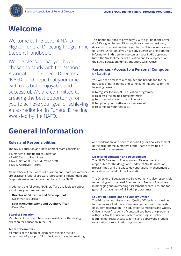## **Welcome**

Welcome to the Level 4 NAFD Higher Funeral Directing Programme Student Handbook.

We are pleased that you have chosen to study with the National Association of Funeral Directors (NAFD), and hope that your time with us is both enjoyable and successful. We are committed to creating the best opportunity for you to achieve your goal of achieving an accreditation in Funeral Directing, awarded by the NAFD.

This handbook aims to provide you with a guide to the Level 4 NAFD Higher Funeral Directing Programme as designed; delivered; assessed and managed by the National Association of Funeral Directors. If you have any queries arising from the information in this guide, you can ask your NAFD approved tutor; the NAFD Director of Education and Development or the NAFD Education Admissions and Quality Officer.

## **Resources - Access to a Personal Computer or Laptop**

You will need access to a computer and broadband for the purposes of participating and completing this course for the following reasons:

- To register for an NAFD Education programme
- $\blacksquare$  To access the online course materials
- To communicate with the online tutor
- To upload your portfolio for assessment
- To complete your feedback.

## **General Information**

## **Roles and Responsibilities**

The NAFD Education and Development team consists of:

- Members of the Board of Education,
- NAFD Team of Examiners
- NAFD National Office Education Staff
- NAFD Approved Tutors.

All members of the Board of Education and Team of Examiners are practicing funeral directors representing Independent and Corporate members. All are members of the NAFD.

In addition, the following NAFD staff are available to support you during your time with us:

**Director of Education and Development** Karen Van-Richardson

 **Education Admissions and Quality Officer** Karen Burton

### **Board of Education**

Members of the Board have responsibility for the strategic direction for education in the NAFD.

### **Team of Examiners**

Members of the Team of Examiners oversee the fair assessment of your portfolio of evidence, including marking and moderation; and have responsibility for final assessment of the programme. Members of the Team are trained in examination assessment.

### **Director of Education and Development**

The NAFD Director of Education and Development is responsible for the design and update of NAFD Education programmes, and the day to day operational management of education on behalf of the Association.

The Director of Education and Development is also responsible for working with the Lead Examiner and Team of Examiners in managing and overseeing assessment procedures, and for general management of all NAFD programmes.

### **Education Admissions and Quality Officer**

The Education Admissions and Quality Officer is responsible for managing all administrative arrangements and oversight of student registration. The Education Admissions and Quality Officer is your first point of contact if you have any problems with your NAFD education system online log- in; online learning materials; access to forms and paperwork; student registration or examination registration.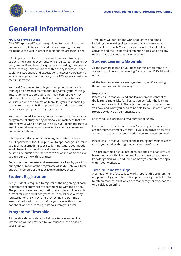

## **General Information**

### **NAFD Approved Tutors**

All NAFD Approved Tutors are qualified to national teaching and assessment standards, and receive ongoing training throughout the year in order that standards are maintained.

NAFD approved tutors are responsible for your training and as such, the learning experience while registered for an NAFD programme. If you have any questions regarding the content of the learning units contained within the syllabus; you need to clarify instructions and expectations; discuss coursework or assessment; you should contact your NAFD approved tutor in the first instance.

Your NAFD approved tutor is your first point of contact on training and personal matters that may affect your learning. Tutors are able to approach other members of the NAFD education team on your behalf, and if necessary, to raise your issues with the education team. It is your responsibility to ensure that your NAFD approved tutor understands your needs as you progress through your studies.

Your tutor can advise on any general matters relating to your programme of study or any personal circumstances that are affecting your work; tutors will also give you feedback on your learning and discuss your portfolio of evidence assessment and results with you.

It is important that you maintain regular contact with your NAFD approved tutor. It is up to you to approach your tutor if you feel that something specifically important to your needs would benefit from additional discussion. Time may need to be set aside outside the face to face / or online workshops for you to spend time with your tutor.

Records of your progress and assessment are kept by your tutor during the duration of the programme of study. Only your tutor and staff members of the Education team have access.

## **Student Registration**

Every student is required to register at the beginning of each programme of study prior to commencing with their tutor. The process of student registration takes place online and is current for a period of two years. You should have already registered for the NAFD Funeral Directing programme at www.nafdeducation.org.uk before you receive this student handbook and the learning materials from your tutor.

## **Programme Timetable**

A timetable showing details of all face to face and online interaction will be provided by your tutor for the period of your studies.

Timetables will contain the workshop dates and times, including the learning objectives so that you know what to expect from each. Your tutor will include a list of online activities and their expected completion dates, and also any online 'chat' activities that have set times.

## **Student Learning Materials**

All the learning materials you need for this programme are accessible online via the Learning Zone on the NAFD Education website.

All the learning materials are organised by 'unit' according to the module you will be working on.

### **Important:**

Please ensure that you read and learn from the content of the learning materials. Familiarise yourself with the learning outcomes for each Unit. The objectives tell you what you need 'to know' and 'what you need to be able to do' – in other words, provide evidence of, demonstrate etc.

Each module is organised by a number of 'units'.

Each 'unit' consists of a number of 'Learning Outcomes and associated 'Assessment Criteria' – if you can provide accurate answers to the assessment criteria – you know your subject!

Please ensure that you refer to the learning materials to assist you in your studies throughout your course of study.

This programme of study has been designed to enable you to learn the theory, think about and further develop your own knowledge and skills, and focus on how you are able to apply within your workplace

### **Tutor led Online Workshops**

A series of online face to face workshops for this programme are planned by your tutor to take place over a period of twelve to fifteen months, all of which are mandatory for attendance / or participation online.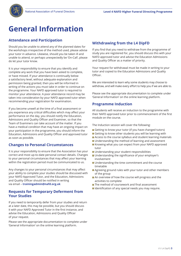

## **General Information**

## **Attendance and Participation**

Should you be unable to attend any of the planned dates for the workshops irrespective of the method used, please advise your tutor in advance. Likewise, should you be taken ill and unable to attend, or perhaps unexpectedly be 'On-Call', please do let your tutor know.

It is your responsibility to ensure that you identify and complete any work that you have been asked to complete, or have missed. If your attendance is continually below a satisfactory level, without adequate explanation and permission being granted, then you will be informed in writing of the actions you must take in order to continue on the programme. Your NAFD approved tutor is required to monitor your attendance. A poor attendance record may be taken into consideration by your NAFD approved tutor when recommending your registration for examination.

If you become unwell at the time of a final assessment or you experience any critical difficulties which may affect your performance on the day, you should notify the Education, Admissions and Quality Officer and Examiner, so that the Team of Examiners can take account of the matter. If you have a medical condition that may have an ongoing impact on your participation in the programme, you should inform the Education, Admissions and Quality Officer and approved tutor as soon as possible.

## **Changes to Personal Circumstances**

It is your responsibility to ensure that the Association has your correct and most up-to-date personal contact details. Changes to your personal circumstances that may affect your learning within the registration period must be communicated to us.

Any changes to your personal circumstances that may affect your ability to complete your studies should be discussed with your NAFD Approved Tutor, and the Education, Admissions and Quality Officer should be notified in writing via email – **trainingadmin@nafd.org.uk**

### **Requests for Temporary Deferment from Your Studies**

If you need to temporarily defer from your studies and return at a later date, this may be possible, but you should discuss it with your NAFD Approved Tutor in the first instance, and advise the Education, Admissions and Quality Officer of your request.

Please see the appropriate documentation to complete under 'General Information' on the online learning platform.

### **Withdrawing from the L4 DipFD**

If you find that you need to withdraw from the programme of study you are registered for, you should discuss this with your NAFD approved tutor and advise the Education Admissions and Quality Officer as a matter of priority.

Your request for withdrawal must be made in writing to your tutor and copied to the Education Admissions and Quality Officer.

We are interested to learn why some students may choose to withdraw, and will make every effort to help you if we are able to.

Please see the appropriate documentation to complete under 'General Information' on the online learning platform.

### **Programme Induction**

All students will receive an induction to the programme with their NAFD approved tutor prior to commencement of the first module on the course.

The Induction session will cover the following:

- Getting to know your tutor (if you have changed tutors)
- Getting to know other students you will be learning with
- Access to the course syllabus and student learning materials
- **Understanding the method of learning and assessment**
- Knowing what you can expect from your NAFD approved tutor
- Understanding your student responsibilities
- Understanding the significance of your employer's involvement
- **Understanding the time commitment and the course** timetable
- Agreeing ground rules with your tutor and other members of the group
- An overview of how the course will progress and the activities to complete
- $\blacksquare$  The method of coursework and final assessment
- **I** Identification of any special needs you may require.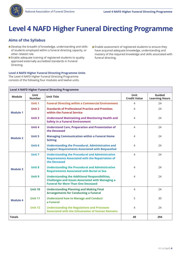

## **Aims of the Syllabus**

- Develop the breadth of knowledge, understanding and skills of students employed within a funeral directing capacity, or other related role.
- **Enable adequate training of registered students to quality** approved externally accredited standards in Funeral Directing.

### **Level 4 NAFD Higher Funeral Directing Programme Units**

The Level 4 NAFD Higher Funeral Directing Programme consists of the following four modules and twelve units. **Enable assessment of registered students to ensure they** have acquired adequate knowledge, understanding and mastery of the required knowledge and skills associated with funeral directing.

| <b>Level 4 NAFD Higher Funeral Directing Programme</b> |                              |                                                                                                                                                               |                                    |                                 |
|--------------------------------------------------------|------------------------------|---------------------------------------------------------------------------------------------------------------------------------------------------------------|------------------------------------|---------------------------------|
| <b>Module</b>                                          | <b>Unit</b><br><b>Number</b> | <b>Unit Title</b>                                                                                                                                             | <b>Unit</b><br><b>Credit Value</b> | Guided<br><b>Learning Hours</b> |
| <b>Module 1</b>                                        | Unit 1                       | <b>Funeral Directing within a Commercial Environment</b>                                                                                                      | 4                                  | 24                              |
|                                                        | Unit 2                       | <b>Standards of Professional Practice and Premises</b><br>within the Funeral Service                                                                          | 4                                  | 24                              |
|                                                        | Unit 3                       | <b>Understand Maintaining and Monitoring Health and</b><br><b>Safety in a Funeral Environment</b>                                                             | 4                                  | 24                              |
|                                                        | Unit 4                       | <b>Understand Care, Preparation and Presentation of</b><br>the Deceased                                                                                       | $\overline{4}$                     | 24                              |
| Module 2                                               | Unit 5                       | <b>Managing Communication within a Funeral Home</b><br><b>Setting</b>                                                                                         | 4                                  | 24                              |
|                                                        | <b>Unit 6</b>                | <b>Understanding the Procedural, Administrative and</b><br><b>Support Requirements Associated with Bequeathal</b>                                             | 4                                  | 24                              |
| <b>Module 3</b>                                        | Unit 7                       | <b>Understanding the Procedural and Administrative</b><br><b>Requirements Associated with the Repatriation of</b><br>the Deceased                             | $\overline{4}$                     | 24                              |
|                                                        | Unit 8                       | <b>Understanding the Procedural and Administrative</b><br><b>Requirements Associated with Burial at Sea</b>                                                   | $\overline{4}$                     | 24                              |
|                                                        | Unit 9                       | <b>Understanding the Additional Responsibilities,</b><br><b>Challenges and Issues Associated with Managing a</b><br><b>Funeral for More Than One Deceased</b> | 4                                  | 24                              |
| <b>Module 4</b>                                        | <b>Unit 10</b>               | <b>Understanding Planning and Making Final</b><br><b>Arrangements for Conducting a Funeral</b>                                                                | 4                                  | 24                              |
|                                                        | <b>Unit 11</b>               | <b>Understand how to Manage and Conduct</b><br>a Funeral                                                                                                      | 5                                  | 30                              |
|                                                        | <b>Unit 12</b>               | <b>Understanding the Regulations and Processes</b><br><b>Associated with the Exhumation of Human Remains</b>                                                  | 4                                  | 24                              |
| <b>Totals</b>                                          |                              |                                                                                                                                                               | 49                                 | 294                             |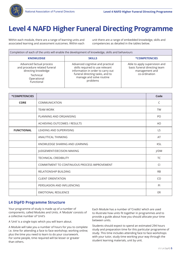

Within each module, there are a range of learning units and associated learning and assessment outcomes. Within each

unit there are a range of embedded knowledge, skills and competencies as detailed in the tables below.

| Completion of each of the units will enable the development of knowledge, skills and behaviours                            |                                                                                                                                                                                     |                                                                                                  |  |
|----------------------------------------------------------------------------------------------------------------------------|-------------------------------------------------------------------------------------------------------------------------------------------------------------------------------------|--------------------------------------------------------------------------------------------------|--|
| <b>KNOWLEDGE</b>                                                                                                           | <b>SKILLS</b>                                                                                                                                                                       | <b>*COMPETENCIES</b>                                                                             |  |
| Advanced factual process<br>and procedure related funeral<br>directing knowledge<br>Technical<br>Operational<br>Functional | Advanced cognitive and practical<br>skills required to use relevant<br>information in order to carry out<br>funeral directing tasks, and to<br>manage and solve routine<br>problems | Able to apply supervision and<br>basic funeral directing team<br>management and<br>co-ordination |  |

| *COMPETENCIES     |                                              | Code           |
|-------------------|----------------------------------------------|----------------|
| <b>CORE</b>       | COMMUNICATION                                | C              |
|                   | <b>TEAM WORK</b>                             | <b>TW</b>      |
|                   | PLANNING AND ORGANISING                      | PO             |
|                   | ACHIEVING OUTCOMES / RESULTS                 | AO             |
| <b>FUNCTIONAL</b> | LEADING AND SUPERVISING                      | LS             |
|                   | ANALYTICAL THINKING                          | AT             |
|                   | KNOWLEDGE SHARING AND LEARNING               | <b>KSL</b>     |
|                   | JUDGEMENT/DECISION MAKING                    | J/DM           |
|                   | <b>TECHNICAL CREDIBILITY</b>                 | TC             |
|                   | COMMITMENT TO CONTINUOUS PROCESS IMPROVEMENT | $\overline{C}$ |
|                   | <b>RELATIONSHIP BUILDING</b>                 | <b>RB</b>      |
|                   | <b>CLIENT ORIENTATION</b>                    | CO             |
|                   | PERSUASION AND INFLUENCING                   | PI             |
|                   | <b>EMOTIONAL RESILIENCE</b>                  | ER             |

### **L4 DipFD Programme Structure**

Your programme of study is made up of a number of components, called Modules and Units. A 'Module' consists of a collective number of 'Unit's

A 'Unit' is a single topic which you will learn about.

A Module will take you a number of hours for you to complete i.e. time for attending a face to face workshop; working online; plus the time you need to learn to do your coursework. For some people, time required will be lesser or greater than others.

Each Module has a number of 'Credits' which are used to illustrate how units fit together in programmes and to provide a guide about how you should allocate your time between units.

Students should expect to spend an estimated 294 hours study and preparation time for this particular programme of study. This time includes attending face to face workshops with your tutor, study time working your way through the student learning materials, unit by unit.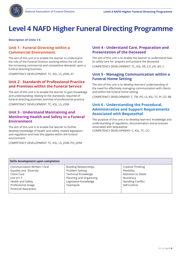

**Description of Units 1-6**

## **Unit 1 - Funeral Directing within a Commercial Environment**

The aim of this unit is to enable the learner to understand the role of the Funeral Director working within the UK and the increasing commercial and competitive demands upon a funeral directing business.

COMPETENCY DEVELOPMENT: TC, KSL, LS, J/DM, AT

## **Unit 2 - Standards of Professional Practice and Premises within the Funeral Service**

The aim of this unit is to enable the learner to gain knowledge and understanding relating to the standards required of funeral directing premises and that of professional practice.

COMPETENCY DEVELOPMENT: TC, KSL, LS, J/DM

## **Unit 3 - Understand Maintaining and Monitoring Health and Safety in a Funeral Environment**

The aim of this unit is to enable the learner to further develop knowledge of health and safety related legislation and regulation and how this applies within the funeral environment.

COMPETENCY DEVELOPMENT: TC, KSL, LS, J/DM, PO, J/DM

## **Unit 4 - Understand Care, Preparation and Presentation of the Deceased**

The aim of this unit is to enable the learner to understand how to safely care for, prepare and present the deceased.

COMPETENCY DEVELOPMENT: TC, KSL, ER, CO, J/D, AO, C

### **Unit 5 - Managing Communication within a Funeral Home Setting**

The aim of this unit is to develop learners' understanding of the need for effectively managing communication with clients and within the funeral home setting.

COMPETENCY DEVELOPMENT: C, TW, PO, LS, KSL, TC, PI, CO, RB

## **Unit 6 - Understanding the Procedural, Administrative and Support Requirements Associated with Bequeathal**

The purpose of this unit is to develop learners' knowledge and understanding of regulation, documentation and processes associated with bequeathal. COMPETENCY DEVELOPMENT: C, KSL, TC, CO

| <b>Skills development upon completion</b>                                                                                                                    |                                                                                                                                                |                                                                                                                 |  |
|--------------------------------------------------------------------------------------------------------------------------------------------------------------|------------------------------------------------------------------------------------------------------------------------------------------------|-----------------------------------------------------------------------------------------------------------------|--|
| Communication Written / Oral<br>Equality and Diversity<br>Client Care<br>Use of I.T<br>Health and Safety<br>Professional Image<br><b>Financial Awareness</b> | <b>Building Relationships</b><br>Problem Solving<br><b>Technical Knowledge</b><br>Planning and Organising<br>Legislative Knowledge<br>Teamwork | Creative Thinking<br>Flexibility<br>Attention to Detail<br>Numeracy<br><b>Handling Conflict</b><br>Self-Control |  |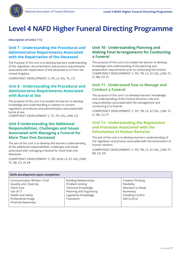

**Description of Units 7-12**

## **Unit 7 - Understanding the Procedural and Administrative Requirements Associated with the Repatriation of the Deceased**

The Purpose of this unit is to develop learners understanding of the regulation, documentation and process requirements associated with repatriation of the deceased to or from the United Kingdom.

COMPETENCY DEVELOPMENT: C, PO, LS, KSL, TC, CO

## **Unit 8 - Understanding the Procedural and Administrative Requirements Associated with Burial at Sea**

The purpose of this unit is to enable the learner to develop knowledge and understanding in relation to current regulation, procedures and administration associated with burial at sea.

COMPETENCY DEVELOPMENT: C, TC, PO, KSL, J.DM, CO

## **Unit 9 Understanding the Additional Responsibilities, Challenges and Issues Associated with Managing a Funeral for More Than One Deceased**

The aim of this unit is to develop the learners understanding of the additional responsibilities, challenges and issues associated with managing a funeral for more than one deceased.

COMPETENCY DEVELOPMENT: C, TW, AO/R, LS, AT, KSL, J/DM, TC, RB, CO, PI, ER

## **Unit 10 - Understanding Planning and Making Final Arrangements for Conducting a Funeral**

The purpose of this unit is to enable the learner to develop knowledge and understanding of the planning and preparation requirements prior to conducting the funeral. COMPETENCY DEVELOPMENT: C, PO, TW, LS, AT, KSL, J.DM, TC, CI, RB, CO, PI

### **Unit 11 - Understand how to Manage and Conduct a Funeral**

The purpose of this unit is to develop learners' knowledge and understanding of the Funeral Directors role and responsibilities associated with the management and conducting of a funeral.

COMPETENCY DEVELOPMENT: C, PO, TW, LS, AT, KSL, J.DM, TC, CI, RB, CO, PI

### **Unit 12 - Understanding the Regulations and Processes Associated with the Exhumation of Human Remains**

The aim of this unit is to develop learners' understanding of the regulation and process associated with the exhumation of human remains.

COMPETENCY DEVELOPMENT: C, PO, TW, LS, AT, KSL, J.DM, TC, RB, CO, ER

| Skills development upon completion |                               |                            |  |
|------------------------------------|-------------------------------|----------------------------|--|
| Communication Written / Oral       | <b>Building Relationships</b> | <b>Creative Thinking</b>   |  |
| Equality and Diversity             | Problem Solving               | Flexibility                |  |
| Client Care                        | Technical Knowledge           | <b>Attention to Detail</b> |  |
| Use of I.T                         | Planning and Organising       | Numeracy                   |  |
| Health and Safety                  | Legislative Knowledge         | <b>Handling Conflict</b>   |  |
| Professional Image                 | Teamwork                      | Self-Control               |  |
| <b>Financial Awareness</b>         |                               |                            |  |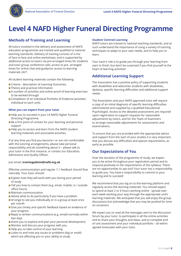

## **Methods of Training and Learning**

All tutors involved in the delivery and assessment of NAFD education programmes are trained and qualified to national teaching standards. Delivery of training consists of a mix of face to face and online workshops; and is supported by additional access to tutors via pre-arranged times for students and tutor group conference calls; access to pre- arranged times for online chat and guidance; access to learning materials 24/7.

All student learning materials contain the following:

- Criteria description of Learning Outcomes,
- Theory and practical information
- A number of activities and online proof of learning exercises to be worked through
- Completion of an individual Portfolio of Evidence (activities individual to each unit).

### **What you can expect from your tutor**

- Help you to succeed in your L4 NAFD Higher Funeral Directing Programme.
- Be a first point of contact for your learning and personal support
- Help you to access and learn from the NAFD student learning materials and associated activities.

If at any time you find you become / or are not comfortable with the tutoring arrangements, please take personal responsibility and do something about it – please talk to your tutor in the first instance, or contact our Education, Admissions and Quality Officer.

### Just email: **trainingadmin@nafd.org.uk**

Effective communication and regular 1:1 feedback should flow naturally. Your tutor should:

- Explain how they will work with you during your period of study
- Tell you how to contact them (e.g. email, mobile, in / outside office hours)
- **Maintain communication**
- Advise what to do particularly if you have a problem
- Arrange to see you individually or in a group at least once per month
- Give you timely and specific feedback based on evidence of your progress
- Reply to written communications (e.g. email) normally within two days
- Assist you to explore and plan your personal development,
- **Monitor and discuss your progress with you**
- Help you to take control of your learning
- **Listen to and note any issues or problems (big or small)** which are affecting you or your ability to study.

### **Student Centred Learning**

NAFD tutors are trained to national teaching standards, and as such understand the importance of using a variety of tutoring techniques to adapt to your own needs, and to help you to learn.

Your tutor's role is to guide you through your learning from start to finish, but don't be surprised if you find yourself at the heart of learning activities!

## **Additional Learning Support**

The Association has a positive policy of supporting students with disabilities and welcomes students with disabilities, dyslexia, specific learning difficulties and additional support needs.

The Association and your NAFD approved tutor will require a copy of an initial diagnosis of specific learning difficulties administered and supplied by a qualified Educational Psychologist. Access to the detailed assessments are required upon registration to support requests for reasonable adjustments by tutors, and for the Team of Examiners to arrange reasonable adjustments for assessments and examinations.

To ensure that you are provided with the appropriate advice and support from the start of your studies it is very important that you discuss any difficulties and special requirements, as early as possible.

## **Our Expectations of You**

Over the duration of the programme of study, we expect you to be active throughout your registration period and to respond positively to the requirements of the syllabus. There are no opportunities to opt out!! Your tutor has a responsibility to guide you. You have a responsibility to commit to your learning and to succeed!

We recommend that you log on to the learning platform and regularly access the learning materials. You should expect to spend at least 2 or 6 hours working online - spread over each week working your way through the appropriate unit's learning materials. We anticipate that you will enjoy the group discussions but acknowledge that you may be pushed for time on occasions

We expect you to read all the messages sent to the discussion forum by your tutor, to participate in all the online activities and to share your thoughts and ideas, and to complete end of unit assessment and your individual portfolio – all within agreed timescales with your tutor.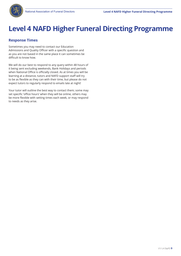

## **Response Times**

Sometimes you may need to contact our Education Admissions and Quality Officer with a specific question and as you are not based in the same place it can sometimes be difficult to know how.

We will do our best to respond to any query within 48 hours of it being sent excluding weekends, Bank Holidays and periods when National Office is officially closed. As at times you will be learning at a distance, tutors and NAFD support staff will try to be as flexible as they can with their time, but please do not expect tutors to regularly respond to emails late at night!

Your tutor will outline the best way to contact them; some may set specific 'office hours' when they will be online, others may be more flexible with setting times each week, or may respond to needs as they arise.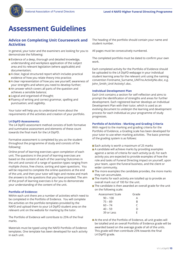

## **Assessment Guidelines**

### **Advice on Completing Unit Coursework and Activities**

In general, your tutor and the examiners are looking for you to demonstrate the following:

- **Exidence of a deep, thorough and detailed knowledge,** understanding and workplace application of the subject area and its relevant legislation (where applicable) and documentation;
- A clear, logical structured report which includes practical evidence of how you relate theory into practice;
- A clear representation of how you see yourself; awareness of your strengths and where you need to develop further;
- An answer which covers all parts of the question and achieves a sensible balance;
- Logical and organised of thought;
- **Filuency of writing and correct grammar, spelling and** punctuation; and Legibility.

Your tutor will help you to understand more about the requirements of the activities and creation of your portfolio.

#### **L4 DipFD Assessments:**

The L4 DipFD assessment method consists of both formative and summative assessment and elements of these count towards the final mark for the L4 DipFD.

Formative assessment is completed by you as the student throughout the programme of study and consists of the following:

Online proof of learning exercises upon completion of each unit. The questions in the proof of learning exercises are based on the content of each of the Learning Outcomes in the unit and consist of a range of question types ranging from multiple choice, free choice, sorting and open questions. You will be required to complete the online questions at the end of the unit, and then your tutor will login and review and mark the answers to the questions that you have provided. The aim of the proof of learning exercises is for you to demonstrate your understanding of the content of the unit.

### **Portfolio of Evidence:**

Within each unit there are a number of activities which need to be completed in the Portfolio of Evidence. You will complete the activities on the portfolio templates provided by the NAFD and upload them to your L4 DipFD student area on the relevant unit on the website for marking by the tutor.

The Portfolio of Evidence will contribute to 25% of the final marks.

Materials must be typed using the NAFD Portfolio of Evidence templates. One template has been developed for each activity in each unit.

The heading of the portfolio should contain your name and student number.

All pages must be consecutively numbered.

The completed portfolio must be dated to confirm your own work.

Each completed activity for the Portfolio of Evidence should be uploaded to the L4 DipFD webpage in your individual student learning area for the relevant unit using the naming convention Forename\_Surname\_UNITno.ActivityNo.doc, e.g. John\_Smith\_Unit1Activity1.doc.

### **Individual Development Plan**

Each Unit contains a section for self-reflection and aims to prompt the identification of strengths and areas for further development. Each registered learner develops an Individual Development Plan with their tutor, which is used as an evolving document to underpin the learning and development process for each individual as your programme of study progresses.

### **Portfolio of Activities - Marking and Grading Criteria**

With regard to the marking and grading criteria for the Portfolio of Evidence, a Grading scale has been developed for your tutor to use when marking activities. The basic premise of the grading system is as follows:

- Each activity is worth a maximum of 25 marks
- A candidate will achieve marks by providing examples against a series of criteria for each activity (a-d). For each activity you are expected to provide examples of how the role and tasks of Funeral Directing impact on yourself, upon your team, upon the funeral business, and the client or wider community.
- The more examples the candidate provides, the more marks they can accumulate.
- The marks for each activity are totalled up to provide an overall mark out of 100 for the unit.
- $\blacksquare$  The candidate is then awarded an overall grade for the unit on the following scale:

| Assessment Scale | Grade |
|------------------|-------|
| $90 - 100$       | А     |
| $75 - 89$        | R     |
| $60 - 74$        | C     |
| $40 - 59$        | D     |
| 39 or Less       | F     |

At the end of the Portfolio of Evidence, all unit grades will be totalled and an overall Portfolio of Evidence grade will be awarded based on the average grade of all of the units. This grade will then contribute 25% towards the final L4 DipFD grade.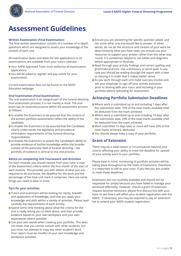

## **Assessment Guidelines**

### **Written Examination (Final Examination)**

The final written examination consists of a number of in-depth questions which are designed to assess your knowledge of the content of each unit.

All examination dates and dates for last applications to sit examinations, are available from your tutors calendar.

- **NAFD Approved Tutor must authorise all examination** applications.
- You will be asked to register and pay online for your examination.

Current examination fees can be found on the NAFD Education webpage.

### **Oral Examination (Final Examination)**

The oral examination is an integral part of the funeral directing final assessment process; it is not merely a ritual. The oral exam has an essential purpose within the assessment process as follows:

- $\blacksquare$  to enable the Examiners to be assured that the content of the written portfolio assessments reflect the ability of the candidate.
- to enable the Examiners to be assured that the Candidate clearly understands the legislative and procedural information requirements of the funeral directing responsibilities
- to enable the Examiners to assess the Candidate's ability to provide evidence of his/her knowledge within the broader context of the particular field of funeral directing – the portfolio of evidence is central to this end process.

### **Advice on completing Unit Coursework and Activities**

For each module, you should receive from your tutor a copy of the assessment criteria within the first month of the start of each module. This provides you with details of what you are required to do and know, the deadline for the work and the percentage of the total unit mark it comprises. Here are some things you need to bear in mind.

### **Tip's for your activities**

- **Tutors and examiners will be looking for clarity, breadth** and application of knowledge, and how you apply your knowledge and skills within a variety of activities. Please read carefully the requirements of each activity.
- Spend some time thinking about what the criteria for the unit is really asking you to think about, and then provide evidence based on your own workplace and your own experiences where possible.
- Use your own words when creating your portfolio. This does not mean that you cannot consult with other students, but you must not attempt to copy any other student's work. Your report must be mindful of your own knowledge and workplace activities.
- **Ensure you are answering the specific question asked, and** not some other one you would like to answer. In other words, do not let the structure and content of your work be determined by what you have read; you should use your resources to support your answer rather than the other way round. It is sometimes helpful to use tables and diagrams where appropriate to illustrate.
- Read through your activity findings and correct spelling and grammatical errors. Use a dictionary or word spell. In any case you should be reading through the report with a view to revising it in order that it makes better sense.
- As you work through each unit make sure you involve and ask your employer to sign off your activity outcomes prior to sharing with your tutor, and including in your portfolio before uploading for assessment.

### **Achieving Portfolio Submission Deadlines**

- Where work is submitted up to and including 7 days after the submission date, 10% of the total marks available shall be deducted from the mark achieved.
- Where work is submitted up to and including 14 days after the submission date, 20% of the total marks available shall be deducted from the mark achieved.
- Work submitted 15 days later or more will have 25% of the total marks achieved, deducted.
- You should always keep a copy of your portfolio.

### **Grant of Extension**

There may be a valid reason or circumstances beyond your control affecting your ability to meet the deadline for upload of your activity work to your portfolio.

Please bear in mind, monitoring of portfolio activities will be taking place throughout by the Team of Examiners. Therefore, it is important to talk to your tutor, if you feel you are unable to meet these deadlines.

Extensions are not routinely available and should not be requested for simply because you have failed to manage your workload effectively. However, should a grant of extension request become necessary, please first discuss this with your tutor to see how it will affect your student registration with the NAFD. If necessary, you may be required to pay an extension fee to extend your NAFD student registration.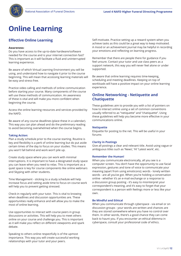

## **Online Learning**

## **Effective Online Learning**

### **Awareness:**

Do you have access to the up-to-date hardware/software needed for the course and is your internet connection fast? This is important as it will facilitate a fluid and uninterrupted learning experience.

Be aware of which Virtual Learning Environment you will be using, and understand how to navigate it prior to the course beginning. This will mean that accessing learning materials will be easy and stress-free.

Practice video calling and methods of online communication before starting your course. Many components of the course will use these methods of communication. An awareness of these is vital and will make you more confident when beginning the course.

Access the online learning resources and services provided by the NAFD.

Be aware of any course deadlines (place these in a calendar). This way you can plan ahead and do the preliminary reading to avoid becoming overwhelmed when the course begins.

### **Taking Action:**

Plan a study schedule prior to the course starting. Routine is key and flexibility is a perk of online learning but do put aside certain times of the day to focus on your studies. This means you won't fall behind and work won't pile up.

Create study space where you can work with minimal interruptions. It is important to have a designated study space you can leave when you need to relax. This is important as a quiet space is key for course components like online webinars and Skyping with other students.

Time Management - sticking to a study schedule will help increase focus and setting aside time to focus on course work will help you to prevent getting stressed.

Check-in regularly with your tutor. This is vital to knowing when deadlines and discussion opportunities are. These opportunities really enhance and will allow you to make the most of online learning.

Use opportunities to interact with course peers in group discussions or activities. This will help you to meet others online on your course and challenge you. This is important as it will make you reflect on different viewpoints and spark debate.

Speaking to others online respectfully is of the upmost importance. This way you will create successful working relationships with your tutor and your peers.

Self-motivate. Practice setting up a reward system when you achieve tasks as this could be a great way to keep motivated. A mood or an achievement journal may be helpful in recording your emotions and reflecting on learning progress.

Remember that there are people there for guidance if you feel unsure. Contact your tutor and use class peers as a support network, this way you will never feel alone or under supported.

Be aware that online learning requires time-keeping, scheduling and meeting deadlines. Keeping on top of workloads will have a positive impact on your online learning experience.

### **Online Networking - Netiquette and Chatiquette**

These guidelines aim to provide you with a list of pointers on how to interact online using a set of common conventions usually referred to as "netiquette" and "chatiquette". Using these guidelines will help you become more effective in your communications online.

### **Netiquette**

Etiquette for posting to the net. This will be useful in your forums

### **Clarity in Postings**

Give all postings a clear and relevant title. Avoid using vague or ambiguous titles such as 'News', 'Hi' 'Latest work', etc.

### **Remember the Human!**

When you communicate electronically, all you see is a computer screen. You don't have the opportunity to use facial expression, gestures and tone of voice to communicate your meaning (apart from using emoticons); words - lonely written words - are all you've got. When you're holding a conversation online - whether it's an e-mail exchange or a response to a discussion group posting - it's easy to misinterpret your correspondent's meaning, and it's easy to forget that your correspondent is a person with feelings more or less like your own.

### **Be Mindful and Ethical**

When you communicate through cyberspace - via email or on discussion groups - your words are written and chances are they are stored somewhere where you have no control over them. In other words, there's a good chance they can come back to haunt you. If you encounter an ethical dilemma in cyberspace, consult your professional code of ethics.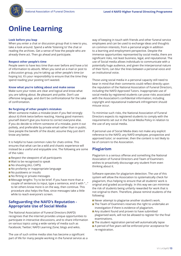

## **Online Learning**

#### **Look before you leap**

When you enter a chat or discussion group that is new to you, take a look around. Spend a while 'listening to' the chat or reading the archives. Get a sense of how the people who are already there act. Then go ahead and participate.

#### **Respect other people's time**

People seem to have less time than ever before and have a lot of information to absorb. When you send an e-mail or post to a discussion group, you're taking up other people's time (or hoping to). It's your responsibility to ensure that the time they spend reading your posting isn't wasted.

#### **Know what you're talking about and make sense**

Make sure your notes are clear and logical and know what you are talking about. Be pleasant and polite. Don't use offensive language, and don't be confrontational for the sake of confrontation.

#### **Be forgiving of other people's mistakes**

When someone makes a mistake (even if you feel strongly about it) think twice before reacting. Having good manners yourself doesn't give you licence to correct everyone else. If you do decide to inform someone of a mistake, point it out politely, and preferable by private email rather than in public. Give people the benefit of the doubt; assume they just don't know any better.

It is helpful to have common rules for chats online. This ensures that what can be a wild and chaotic experience will instead be a useful and enjoyable one. The following are some of the rules:

- $\blacksquare$  Respect the viewpoint of all participants
- Wait to be recognised to speak
- No shouting (ALL CAPS)
- No profanity or inappropriate language
- No putdowns or insults
- No flirting or private messages
- Message lengths: Try to be brief. If you have more than a couple of sentences to input, type a sentence, end it with "..." to let others know more is on the way, then continue. This procedure also helps the flow, since messages take a little while to reach everyone's screen.

### **Safeguarding the NAFD's Reputation - Appropriate Use of Social Media**

The National Association of Funeral Directors (NAFD) recognises that the internet provides unique opportunities to participate in interactive discussions, and to share information on various topics using a wide variety of media such as Facebook; Twitter; NAFD Learning Zone; blogs and wikis.

The use of such online media sites has become a significant part of life for many people working in the funeral service as a way of keeping in touch with friends and other funeral service employees and can be used to exchange ideas and thoughts on common interests, from a personal angle in addition to a learning and employment perspective. Despite the immense opportunities represented by social media, there are significant risks, not least business, legal, and reputational. The use of Social media allows individuals to communicate with a potentially huge audience, and given the interpersonal nature of their form, can blur the lines between a personal voice and an institutional voice.

Those using social media in a personal capacity still need to bear in mind that their comments could reflect directly upon the reputation of the National Association of Funeral Directors, including the NAFD Approved Tutors. Inappropriate use of social media by registered students can pose risks associated with the Association's confidential information; including copyright and reputational trademark infringement should misuse occur.

To minimise such risks, the National Association of Funeral Directors expects its registered students to comply with the requirements set out in the Social Media Policy in relation to the use of any social media.

If personal use of Social Media does not make any explicit reference to the NAFD; any NAFD employee, prospective and approved tutor; or examiner, then the content is not likely to be of concern to the Association.

### **Plagiarism**

Plagiarism is a serious offense and something the National Association of Funeral Directors and Team of Examiners wishes to proactively discourage any student from even thinking about it.

Software operates for plagiarism detection. The use of this system will allow the Association to systematically check for plagiarism, thus helping to ensure that all students' work is original and graded accordingly. In this way we can minimise the risk of students being unfairly rewarded for work that is not original to them. Therefore, please remind students of the following:

- Never attempt to plagiarise another student's work.
- The Team of Examiners reserves the right to undertake an investigation if there is evidence of plagiarism.
- Any student found and proven to have submitted plagiarised work, will not be allowed to register for the final examinations.
- The student registration period will automatically lapse
- A period of five years will be enforced prior acceptance for re-registration.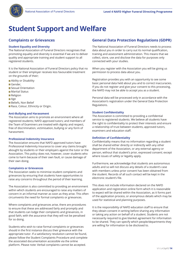

## **Student Support and Welfare**

## **Complaints or Grievances**

### **Student Equality and Diversity**

The National Association of Funeral Directors recognises that promoting equality and diversity is essential if we are to deliver quality and appropriate training and student support to all registered students.

It is the National Association of Funeral Directors policy that no student or their employer receives less favourable treatment on the grounds of their;

- **Ability or Disability**
- Gender,
- Sexual Orientation
- **Marital Status**
- **Religion**
- **NAge**
- **Beliefs, Non Belief**
- Race, Colour, Ethnicity or Origin.

#### **Anti-Bullying and Harassment**

The Association aims to promote an environment where all registered students; NAFD approved tutors; and members of the Team of Examiners are treated with dignity and respect, free of discrimination, victimisation, bullying or any form of harassment.

### **Professional Indemnity Insurance**

The Association ensures that NAFD approved tutors have Professional Indemnity Insurance to cover any claims brought abought by students or their employers against the tutor or the Association. This policy does not, however, cover students who come to harm because of their own fault, or cause damage of their own doing.

#### **Complaints or Grievances**

The Association seeks to minimise student complaints and grievances by ensuring that students have opportunities to raise any concerns throughout the period of their learning.

The Association is also committed to providing an environment within which students are encouraged to raise any matters of concern in an informal manner as soon as they arise. This often circumvents the need for formal complaints or grievances.

Where complaints and grievances arise, there are procedures to ensure that these are addressed fairly and promptly and that students can lodge their complaints and grievances, in good faith, with the assurance that they will not be penalised for so doing.

Students who wish to raise formal complaints or grievances should in the first instance discuss their grievance with the appropriate tutor. If a satisfactory resolution cannot be found, please follow the Student Complaints Procedure and complete the associated documentation accessible via the online platform. Please note: Verbal complaints cannot be accepted.

### **General Data Protection Regulations (GDPR)**

The National Association of Funeral Directors needs to process data about you in order to carry out its normal qualification, training and assessment administration. This means that we collect, store, use and disclose the data for purposes only connected with your studies.

When you register with the Association you will be giving us permission to process data about you.

Registration provides you with an opportunity to see some basic personal data held about you and to correct inaccuracies. If you do not register and give your consent to this processing, the NAFD may not be able to accept you as a student.

Personal data will be processed only in accordance with the Association's registration under the General Data Protection Regulations.

### **Student Confidentiality**

The Association is committed to providing a confidential service to registered students. We believe all students have the right to confidentiality to protect their interests and ensure a relationship of trust between students, approved tutors, examiners and education staff.

### **Definition of Confidentiality**

Confidentiality means that no information regarding a student shall be shared either directly or indirectly with any other department of the Association, or any external agency or person, without that student's prior, expressed consent; except where issues of safety or legality apply.

Furthermore, we acknowledge that students are autonomous adults and so will not discuss any details of a student's case with members unless prior consent has been obtained from the student. Records of all such contact will be kept in the electronic student's file.

This does not include information declared on the NAFD application and registration online form which it is reasonable to expect will be shared within the Association, as it forms part of the application process, or anonymous details which may be used for statistical and planning purposes.

It is the responsibility of NAFD education staff to ensure that they obtain consent in writing before sharing any information or taking any action on behalf of a student. Students are not necessarily required to give blanket agreement for information to be shared. They can specify which people/departments they are willing for information to be disclosed to.